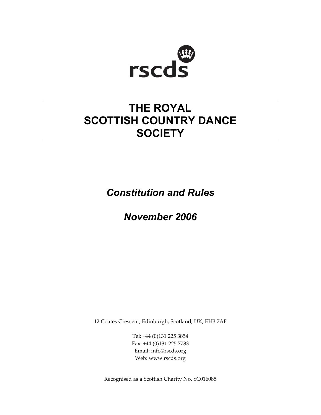

# **THE ROYAL SCOTTISH COUNTRY DANCE SOCIETY**

*Constitution and Rules*

*November 2006* 

12 Coates Crescent, Edinburgh, Scotland, UK, EH3 7AF

Tel: +44 (0)131 225 3854 Fax: +44 (0)131 225 7783 Email: info@rscds.org Web: www.rscds.org

Recognised as a Scottish Charity No. SC016085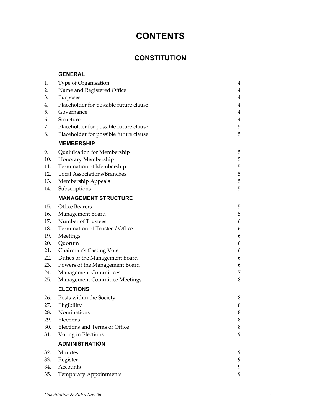# **CONTENTS**

# **CONSTITUTION**

| <b>ENERAL</b> |
|---------------|
|---------------|

| 1.  | Type of Organisation                   | 4      |
|-----|----------------------------------------|--------|
| 2.  | Name and Registered Office             | 4      |
| 3.  | Purposes                               | 4      |
| 4.  | Placeholder for possible future clause | 4      |
| 5.  | Governance                             | 4      |
| 6.  | Structure                              | 4      |
| 7.  | Placeholder for possible future clause | 5      |
| 8.  | Placeholder for possible future clause | 5      |
|     | <b>MEMBERSHIP</b>                      |        |
| 9.  | Qualification for Membership           | 5      |
| 10. | Honorary Membership                    | 5      |
| 11. | Termination of Membership              | 5      |
| 12. | Local Associations/Branches            | 5      |
| 13. | Membership Appeals                     | 5      |
| 14. | Subscriptions                          | 5      |
|     | <b>MANAGEMENT STRUCTURE</b>            |        |
|     |                                        |        |
| 15. | <b>Office Bearers</b>                  | 5      |
| 16. | Management Board                       | 5      |
| 17. | Number of Trustees                     | 6      |
| 18. | Termination of Trustees' Office        | 6      |
| 19. | Meetings                               | 6      |
| 20. | Quorum                                 | 6      |
| 21. | Chairman's Casting Vote                | 6      |
| 22. | Duties of the Management Board         | 6      |
| 23. | Powers of the Management Board         | 6      |
| 24. | <b>Management Committees</b>           | 7      |
| 25. | Management Committee Meetings          | 8      |
|     | <b>ELECTIONS</b>                       |        |
| 26. | Posts within the Society               | 8      |
| 27. | Eligibility                            | 8      |
| 28. | Nominations                            | 8      |
| 29. | Elections                              | 8      |
| 30. | Elections and Terms of Office          | $\, 8$ |
| 31. | Voting in Elections                    | 9      |
|     | <b>ADMINISTRATION</b>                  |        |
| 32. | Minutes                                | 9      |
| 33. | Register                               | 9      |
| 34. | Accounts                               | 9      |
| 35. | Temporary Appointments                 | 9      |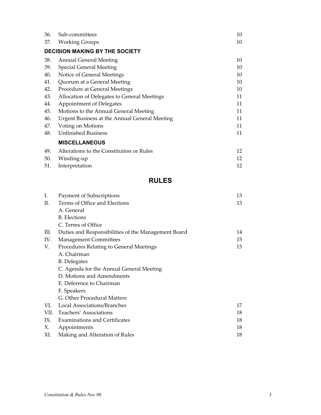| 36. | Sub-committees                                | 10 |
|-----|-----------------------------------------------|----|
| 37. | <b>Working Groups</b>                         | 10 |
|     | <b>DECISION MAKING BY THE SOCIETY</b>         |    |
| 38. | <b>Annual General Meeting</b>                 | 10 |
| 39. | <b>Special General Meeting</b>                | 10 |
| 40. | Notice of General Meetings                    | 10 |
| 41. | Quorum at a General Meeting                   | 10 |
| 42. | Procedure at General Meetings                 | 10 |
| 43. | Allocation of Delegates to General Meetings   | 11 |
| 44. | Appointment of Delegates                      | 11 |
| 45. | Motions to the Annual General Meeting         | 11 |
| 46. | Urgent Business at the Annual General Meeting | 11 |
| 47. | Voting on Motions                             | 11 |
| 48. | <b>Unfinished Business</b>                    | 11 |
|     | <b>MISCELLANEOUS</b>                          |    |
| 49. | Alterations to the Constitution or Rules      | 12 |
| 50. | Winding-up                                    | 12 |
| 51. | Interpretation                                | 12 |
|     |                                               |    |

# **RULES**

| Ι.  | Payment of Subscriptions                            | 13 |
|-----|-----------------------------------------------------|----|
| II. | Terms of Office and Elections                       | 13 |
|     | A. General                                          |    |
|     | <b>B.</b> Elections                                 |    |
|     | C. Terms of Office                                  |    |
| Ш.  | Duties and Responsibilities of the Management Board | 14 |
| IV. | <b>Management Committees</b>                        | 15 |
| V.  | Procedures Relating to General Meetings             | 15 |
|     | A. Chairman                                         |    |
|     | <b>B.</b> Delegates                                 |    |
|     | C. Agenda for the Annual General Meeting            |    |
|     | D. Motions and Amendments                           |    |
|     | E. Deference to Chairman                            |    |
|     | F. Speakers                                         |    |
|     | G. Other Procedural Matters                         |    |
| VI. | Local Associations/Branches                         | 17 |
|     | VII. Teachers' Associations                         | 18 |
| IX. | <b>Examinations and Certificates</b>                | 18 |
| Х.  | Appointments                                        | 18 |
| XI. | Making and Alteration of Rules                      | 18 |
|     |                                                     |    |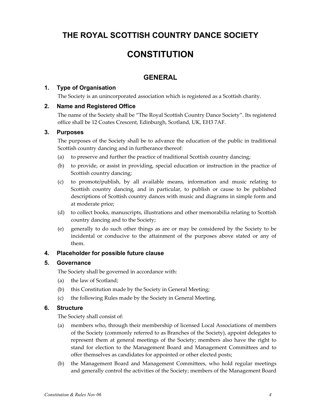# **THE ROYAL SCOTTISH COUNTRY DANCE SOCIETY**

# **CONSTITUTION**

# **GENERAL**

## **1. Type of Organisation**

The Society is an unincorporated association which is registered as a Scottish charity.

### **2. Name and Registered Office**

The name of the Society shall be "The Royal Scottish Country Dance Society". Its registered office shall be 12 Coates Crescent, Edinburgh, Scotland, UK, EH3 7AF.

### **3. Purposes**

The purposes of the Society shall be to advance the education of the public in traditional Scottish country dancing and in furtherance thereof:

- (a) to preserve and further the practice of traditional Scottish country dancing;
- (b) to provide, or assist in providing, special education or instruction in the practice of Scottish country dancing;
- (c) to promote/publish, by all available means, information and music relating to Scottish country dancing, and in particular, to publish or cause to be published descriptions of Scottish country dances with music and diagrams in simple form and at moderate price;
- (d) to collect books, manuscripts, illustrations and other memorabilia relating to Scottish country dancing and to the Society;
- (e) generally to do such other things as are or may be considered by the Society to be incidental or conducive to the attainment of the purposes above stated or any of them.

## **4. Placeholder for possible future clause**

### **5. Governance**

The Society shall be governed in accordance with:

- (a) the law of Scotland;
- (b) this Constitution made by the Society in General Meeting;
- (c) the following Rules made by the Society in General Meeting.

### **6. Structure**

The Society shall consist of:

- (a) members who, through their membership of licensed Local Associations of members of the Society (commonly referred to as Branches of the Society), appoint delegates to represent them at general meetings of the Society; members also have the right to stand for election to the Management Board and Management Committees and to offer themselves as candidates for appointed or other elected posts;
- (b) the Management Board and Management Committees, who hold regular meetings and generally control the activities of the Society; members of the Management Board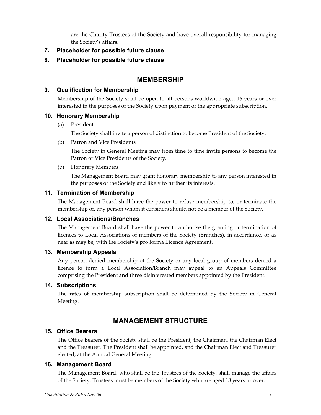are the Charity Trustees of the Society and have overall responsibility for managing the Society's affairs.

**7. Placeholder for possible future clause** 

### **8. Placeholder for possible future clause**

# **MEMBERSHIP**

### **9. Qualification for Membership**

Membership of the Society shall be open to all persons worldwide aged 16 years or over interested in the purposes of the Society upon payment of the appropriate subscription.

### **10. Honorary Membership**

(a) President

The Society shall invite a person of distinction to become President of the Society.

(b) Patron and Vice Presidents

 The Society in General Meeting may from time to time invite persons to become the Patron or Vice Presidents of the Society.

(b) Honorary Members

 The Management Board may grant honorary membership to any person interested in the purposes of the Society and likely to further its interests.

### **11. Termination of Membership**

The Management Board shall have the power to refuse membership to, or terminate the membership of, any person whom it considers should not be a member of the Society.

### **12. Local Associations/Branches**

The Management Board shall have the power to authorise the granting or termination of licences to Local Associations of members of the Society (Branches), in accordance, or as near as may be, with the Society's pro forma Licence Agreement.

### **13. Membership Appeals**

Any person denied membership of the Society or any local group of members denied a licence to form a Local Association/Branch may appeal to an Appeals Committee comprising the President and three disinterested members appointed by the President.

### **14. Subscriptions**

The rates of membership subscription shall be determined by the Society in General Meeting.

# **MANAGEMENT STRUCTURE**

## **15. Office Bearers**

The Office Bearers of the Society shall be the President, the Chairman, the Chairman Elect and the Treasurer. The President shall be appointed, and the Chairman Elect and Treasurer elected, at the Annual General Meeting.

### **16. Management Board**

The Management Board, who shall be the Trustees of the Society, shall manage the affairs of the Society. Trustees must be members of the Society who are aged 18 years or over.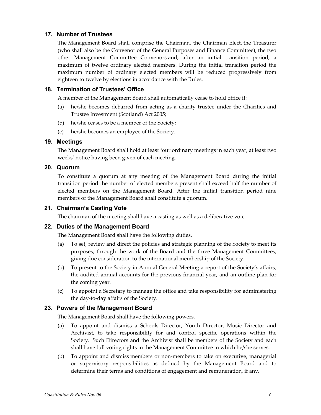## **17. Number of Trustees**

The Management Board shall comprise the Chairman, the Chairman Elect, the Treasurer (who shall also be the Convenor of the General Purposes and Finance Committee), the two other Management Committee Convenors and, after an initial transition period, a maximum of twelve ordinary elected members. During the initial transition period the maximum number of ordinary elected members will be reduced progressively from eighteen to twelve by elections in accordance with the Rules.

# **18. Termination of Trustees' Office**

A member of the Management Board shall automatically cease to hold office if:

- (a) he/she becomes debarred from acting as a charity trustee under the Charities and Trustee Investment (Scotland) Act 2005;
- (b) he/she ceases to be a member of the Society;
- (c) he/she becomes an employee of the Society.

### **19. Meetings**

The Management Board shall hold at least four ordinary meetings in each year, at least two weeks' notice having been given of each meeting.

### **20. Quorum**

To constitute a quorum at any meeting of the Management Board during the initial transition period the number of elected members present shall exceed half the number of elected members on the Management Board. After the initial transition period nine members of the Management Board shall constitute a quorum.

### **21. Chairman's Casting Vote**

The chairman of the meeting shall have a casting as well as a deliberative vote.

### **22. Duties of the Management Board**

The Management Board shall have the following duties.

- (a) To set, review and direct the policies and strategic planning of the Society to meet its purposes, through the work of the Board and the three Management Committees, giving due consideration to the international membership of the Society.
- (b) To present to the Society in Annual General Meeting a report of the Society's affairs, the audited annual accounts for the previous financial year, and an outline plan for the coming year.
- (c) To appoint a Secretary to manage the office and take responsibility for administering the day-to-day affairs of the Society.

### **23. Powers of the Management Board**

The Management Board shall have the following powers.

- (a)To appoint and dismiss a Schools Director, Youth Director, Music Director and Archivist, to take responsibility for and control specific operations within the Society. Such Directors and the Archivist shall be members of the Society and each shall have full voting rights in the Management Committee in which he/she serves.
- (b) To appoint and dismiss members or non-members to take on executive, managerial or supervisory responsibilities as defined by the Management Board and to determine their terms and conditions of engagement and remuneration, if any.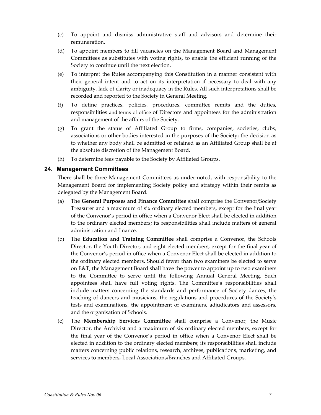- (c) To appoint and dismiss administrative staff and advisors and determine their remuneration.
- (d) To appoint members to fill vacancies on the Management Board and Management Committees as substitutes with voting rights, to enable the efficient running of the Society to continue until the next election.
- (e) To interpret the Rules accompanying this Constitution in a manner consistent with their general intent and to act on its interpretation if necessary to deal with any ambiguity, lack of clarity or inadequacy in the Rules. All such interpretations shall be recorded and reported to the Society in General Meeting.
- (f) To define practices, policies, procedures, committee remits and the duties, responsibilities and terms of office of Directors and appointees for the administration and management of the affairs of the Society.
- (g) To grant the status of Affiliated Group to firms, companies, societies, clubs, associations or other bodies interested in the purposes of the Society; the decision as to whether any body shall be admitted or retained as an Affiliated Group shall be at the absolute discretion of the Management Board.
- (h) To determine fees payable to the Society by Affiliated Groups.

#### **24. Management Committees**

There shall be three Management Committees as under-noted, with responsibility to the Management Board for implementing Society policy and strategy within their remits as delegated by the Management Board.

- (a) The **General Purposes and Finance Committee** shall comprise the Convenor/Society Treasurer and a maximum of six ordinary elected members, except for the final year of the Convenor's period in office when a Convenor Elect shall be elected in addition to the ordinary elected members; its responsibilities shall include matters of general administration and finance.
- (b) The **Education and Training Committee** shall comprise a Convenor, the Schools Director, the Youth Director, and eight elected members, except for the final year of the Convenor's period in office when a Convenor Elect shall be elected in addition to the ordinary elected members. Should fewer than two examiners be elected to serve on E&T, the Management Board shall have the power to appoint up to two examiners to the Committee to serve until the following Annual General Meeting. Such appointees shall have full voting rights. The Committee's responsibilities shall include matters concerning the standards and performance of Society dances, the teaching of dancers and musicians, the regulations and procedures of the Society's tests and examinations, the appointment of examiners, adjudicators and assessors, and the organisation of Schools.
- (c)The **Membership Services Committee** shall comprise a Convenor, the Music Director, the Archivist and a maximum of six ordinary elected members, except for the final year of the Convenor's period in office when a Convenor Elect shall be elected in addition to the ordinary elected members; its responsibilities shall include matters concerning public relations, research, archives, publications, marketing, and services to members, Local Associations/Branches and Affiliated Groups.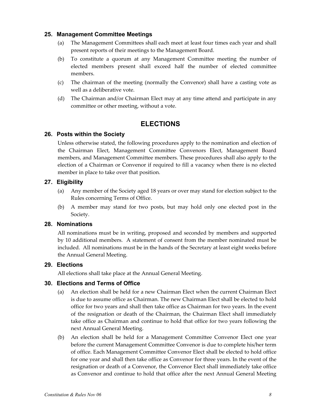### **25. Management Committee Meetings**

- (a) The Management Committees shall each meet at least four times each year and shall present reports of their meetings to the Management Board.
- (b) To constitute a quorum at any Management Committee meeting the number of elected members present shall exceed half the number of elected committee members.
- (c) The chairman of the meeting (normally the Convenor) shall have a casting vote as well as a deliberative vote.
- (d) The Chairman and/or Chairman Elect may at any time attend and participate in any committee or other meeting, without a vote.

# **ELECTIONS**

### **26. Posts within the Society**

Unless otherwise stated, the following procedures apply to the nomination and election of the Chairman Elect, Management Committee Convenors Elect, Management Board members, and Management Committee members. These procedures shall also apply to the election of a Chairman or Convenor if required to fill a vacancy when there is no elected member in place to take over that position.

### **27. Eligibility**

- (a) Any member of the Society aged 18 years or over may stand for election subject to the Rules concerning Terms of Office.
- (b) A member may stand for two posts, but may hold only one elected post in the Society.

### **28. Nominations**

All nominations must be in writing, proposed and seconded by members and supported by 10 additional members. A statement of consent from the member nominated must be included. All nominations must be in the hands of the Secretary at least eight weeks before the Annual General Meeting.

### **29. Elections**

All elections shall take place at the Annual General Meeting.

### **30. Elections and Terms of Office**

- (a) An election shall be held for a new Chairman Elect when the current Chairman Elect is due to assume office as Chairman. The new Chairman Elect shall be elected to hold office for two years and shall then take office as Chairman for two years. In the event of the resignation or death of the Chairman, the Chairman Elect shall immediately take office as Chairman and continue to hold that office for two years following the next Annual General Meeting.
- (b) An election shall be held for a Management Committee Convenor Elect one year before the current Management Committee Convenor is due to complete his/her term of office. Each Management Committee Convenor Elect shall be elected to hold office for one year and shall then take office as Convenor for three years. In the event of the resignation or death of a Convenor, the Convenor Elect shall immediately take office as Convenor and continue to hold that office after the next Annual General Meeting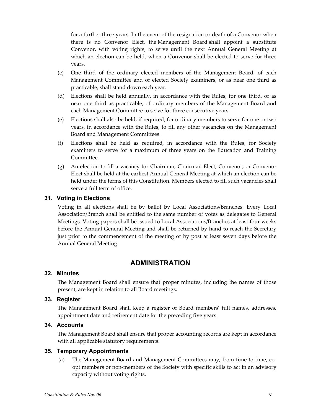for a further three years. In the event of the resignation or death of a Convenor when there is no Convenor Elect, the Management Board shall appoint a substitute Convenor, with voting rights, to serve until the next Annual General Meeting at which an election can be held, when a Convenor shall be elected to serve for three years.

- (c) One third of the ordinary elected members of the Management Board, of each Management Committee and of elected Society examiners, or as near one third as practicable, shall stand down each year.
- (d) Elections shall be held annually, in accordance with the Rules, for one third, or as near one third as practicable, of ordinary members of the Management Board and each Management Committee to serve for three consecutive years.
- (e) Elections shall also be held, if required, for ordinary members to serve for one or two years, in accordance with the Rules, to fill any other vacancies on the Management Board and Management Committees.
- (f) Elections shall be held as required, in accordance with the Rules, for Society examiners to serve for a maximum of three years on the Education and Training Committee.
- (g) An election to fill a vacancy for Chairman, Chairman Elect, Convenor, or Convenor Elect shall be held at the earliest Annual General Meeting at which an election can be held under the terms of this Constitution. Members elected to fill such vacancies shall serve a full term of office.

#### **31. Voting in Elections**

Voting in all elections shall be by ballot by Local Associations/Branches. Every Local Association/Branch shall be entitled to the same number of votes as delegates to General Meetings. Voting papers shall be issued to Local Associations/Branches at least four weeks before the Annual General Meeting and shall be returned by hand to reach the Secretary just prior to the commencement of the meeting or by post at least seven days before the Annual General Meeting.

# **ADMINISTRATION**

### **32. Minutes**

The Management Board shall ensure that proper minutes, including the names of those present, are kept in relation to all Board meetings.

#### **33. Register**

The Management Board shall keep a register of Board members' full names, addresses, appointment date and retirement date for the preceding five years.

### **34. Accounts**

The Management Board shall ensure that proper accounting records are kept in accordance with all applicable statutory requirements.

#### **35. Temporary Appointments**

(a) The Management Board and Management Committees may, from time to time, coopt members or non-members of the Society with specific skills to act in an advisory capacity without voting rights.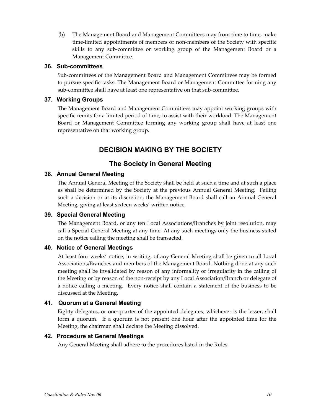(b) The Management Board and Management Committees may from time to time, make time-limited appointments of members or non-members of the Society with specific skills to any sub-committee or working group of the Management Board or a Management Committee.

#### **36. Sub-committees**

Sub-committees of the Management Board and Management Committees may be formed to pursue specific tasks. The Management Board or Management Committee forming any sub-committee shall have at least one representative on that sub-committee.

### **37. Working Groups**

The Management Board and Management Committees may appoint working groups with specific remits for a limited period of time, to assist with their workload. The Management Board or Management Committee forming any working group shall have at least one representative on that working group.

# **DECISION MAKING BY THE SOCIETY**

# **The Society in General Meeting**

### **38. Annual General Meeting**

The Annual General Meeting of the Society shall be held at such a time and at such a place as shall be determined by the Society at the previous Annual General Meeting. Failing such a decision or at its discretion, the Management Board shall call an Annual General Meeting, giving at least sixteen weeks' written notice.

### **39. Special General Meeting**

The Management Board, or any ten Local Associations/Branches by joint resolution, may call a Special General Meeting at any time. At any such meetings only the business stated on the notice calling the meeting shall be transacted.

### **40. Notice of General Meetings**

At least four weeks' notice, in writing, of any General Meeting shall be given to all Local Associations/Branches and members of the Management Board. Nothing done at any such meeting shall be invalidated by reason of any informality or irregularity in the calling of the Meeting or by reason of the non-receipt by any Local Association/Branch or delegate of a notice calling a meeting. Every notice shall contain a statement of the business to be discussed at the Meeting.

### **41. Quorum at a General Meeting**

Eighty delegates, or one-quarter of the appointed delegates, whichever is the lesser, shall form a quorum. If a quorum is not present one hour after the appointed time for the Meeting, the chairman shall declare the Meeting dissolved.

### **42. Procedure at General Meetings**

Any General Meeting shall adhere to the procedures listed in the Rules.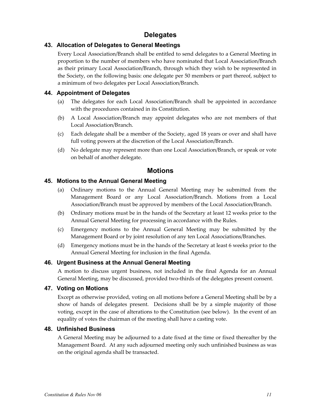# **Delegates**

# **43. Allocation of Delegates to General Meetings**

Every Local Association/Branch shall be entitled to send delegates to a General Meeting in proportion to the number of members who have nominated that Local Association/Branch as their primary Local Association/Branch, through which they wish to be represented in the Society, on the following basis: one delegate per 50 members or part thereof, subject to a minimum of two delegates per Local Association/Branch.

## **44. Appointment of Delegates**

- (a) The delegates for each Local Association/Branch shall be appointed in accordance with the procedures contained in its Constitution.
- (b) A Local Association/Branch may appoint delegates who are not members of that Local Association/Branch.
- (c) Each delegate shall be a member of the Society, aged 18 years or over and shall have full voting powers at the discretion of the Local Association/Branch.
- (d) No delegate may represent more than one Local Association/Branch, or speak or vote on behalf of another delegate.

# **Motions**

# **45. Motions to the Annual General Meeting**

- (a) Ordinary motions to the Annual General Meeting may be submitted from the Management Board or any Local Association/Branch. Motions from a Local Association/Branch must be approved by members of the Local Association/Branch.
- (b) Ordinary motions must be in the hands of the Secretary at least 12 weeks prior to the Annual General Meeting for processing in accordance with the Rules.
- (c) Emergency motions to the Annual General Meeting may be submitted by the Management Board or by joint resolution of any ten Local Associations/Branches.
- (d) Emergency motions must be in the hands of the Secretary at least 6 weeks prior to the Annual General Meeting for inclusion in the final Agenda.

### **46. Urgent Business at the Annual General Meeting**

A motion to discuss urgent business, not included in the final Agenda for an Annual General Meeting, may be discussed, provided two-thirds of the delegates present consent.

### **47. Voting on Motions**

Except as otherwise provided, voting on all motions before a General Meeting shall be by a show of hands of delegates present. Decisions shall be by a simple majority of those voting, except in the case of alterations to the Constitution (see below). In the event of an equality of votes the chairman of the meeting shall have a casting vote.

### **48. Unfinished Business**

A General Meeting may be adjourned to a date fixed at the time or fixed thereafter by the Management Board. At any such adjourned meeting only such unfinished business as was on the original agenda shall be transacted.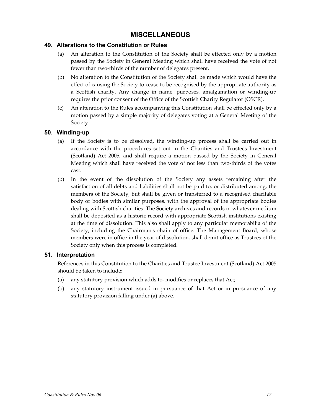# **MISCELLANEOUS**

## **49. Alterations to the Constitution or Rules**

- (a) An alteration to the Constitution of the Society shall be effected only by a motion passed by the Society in General Meeting which shall have received the vote of not fewer than two-thirds of the number of delegates present.
- (b) No alteration to the Constitution of the Society shall be made which would have the effect of causing the Society to cease to be recognised by the appropriate authority as a Scottish charity. Any change in name, purposes, amalgamation or winding-up requires the prior consent of the Office of the Scottish Charity Regulator (OSCR).
- (c) An alteration to the Rules accompanying this Constitution shall be effected only by a motion passed by a simple majority of delegates voting at a General Meeting of the Society.

### **50. Winding-up**

- (a) If the Society is to be dissolved, the winding-up process shall be carried out in accordance with the procedures set out in the Charities and Trustees Investment (Scotland) Act 2005, and shall require a motion passed by the Society in General Meeting which shall have received the vote of not less than two-thirds of the votes cast.
- (b) In the event of the dissolution of the Society any assets remaining after the satisfaction of all debts and liabilities shall not be paid to, or distributed among, the members of the Society, but shall be given or transferred to a recognised charitable body or bodies with similar purposes, with the approval of the appropriate bodies dealing with Scottish charities. The Society archives and records in whatever medium shall be deposited as a historic record with appropriate Scottish institutions existing at the time of dissolution. This also shall apply to any particular memorabilia of the Society, including the Chairman's chain of office. The Management Board, whose members were in office in the year of dissolution, shall demit office as Trustees of the Society only when this process is completed.

### **51. Interpretation**

References in this Constitution to the Charities and Trustee Investment (Scotland) Act 2005 should be taken to include:

- (a) any statutory provision which adds to, modifies or replaces that Act;
- (b) any statutory instrument issued in pursuance of that Act or in pursuance of any statutory provision falling under (a) above.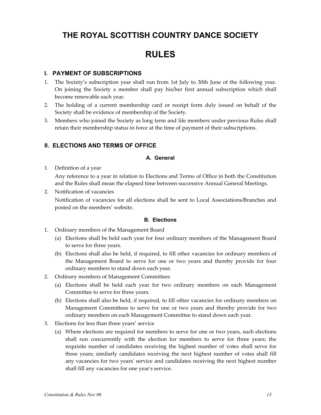# **THE ROYAL SCOTTISH COUNTRY DANCE SOCIETY**

# **RULES**

### **I. PAYMENT OF SUBSCRIPTIONS**

- 1. The Society's subscription year shall run from 1st July to 30th June of the following year. On joining the Society a member shall pay his/her first annual subscription which shall become renewable each year.
- 2. The holding of a current membership card or receipt form duly issued on behalf of the Society shall be evidence of membership of the Society.
- 3. Members who joined the Society as long term and life members under previous Rules shall retain their membership status in force at the time of payment of their subscriptions.

### **II. ELECTIONS AND TERMS OF OFFICE**

### **A. General**

1. Definition of a year

 Any reference to a year in relation to Elections and Terms of Office in both the Constitution and the Rules shall mean the elapsed time between successive Annual General Meetings.

2. Notification of vacancies

 Notification of vacancies for all elections shall be sent to Local Associations/Branches and posted on the members' website.

### **B. Elections**

- 1. Ordinary members of the Management Board
	- (a) Elections shall be held each year for four ordinary members of the Management Board to serve for three years.
	- (b) Elections shall also be held, if required, to fill other vacancies for ordinary members of the Management Board to serve for one or two years and thereby provide for four ordinary members to stand down each year.
- 2. Ordinary members of Management Committees
	- (a) Elections shall be held each year for two ordinary members on each Management Committee to serve for three years.
	- (b) Elections shall also be held, if required, to fill other vacancies for ordinary members on Management Committees to serve for one or two years and thereby provide for two ordinary members on each Management Committee to stand down each year.
- 3. Elections for less than three years' service
	- (a) Where elections are required for members to serve for one or two years, such elections shall run concurrently with the election for members to serve for three years; the requisite number of candidates receiving the highest number of votes shall serve for three years; similarly candidates receiving the next highest number of votes shall fill any vacancies for two yearsʹ service and candidates receiving the next highest number shall fill any vacancies for one year's service.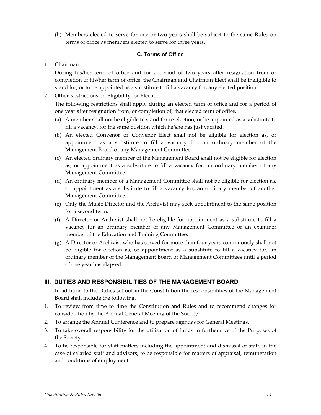(b) Members elected to serve for one or two years shall be subject to the same Rules on terms of office as members elected to serve for three years.

### **C. Terms of Office**

1. Chairman

 During his/her term of office and for a period of two years after resignation from or completion of his/her term of office, the Chairman and Chairman Elect shall be ineligible to stand for, or to be appointed as a substitute to fill a vacancy for, any elected position.

2. Other Restrictions on Eligibility for Election

 The following restrictions shall apply during an elected term of office and for a period of one year after resignation from, or completion of, that elected term of office.

- (a) A member shall not be eligible to stand for re-election, or be appointed as a substitute to fill a vacancy, for the same position which he/she has just vacated.
- (b) An elected Convenor or Convenor Elect shall not be eligible for election as, or appointment as a substitute to fill a vacancy for, an ordinary member of the Management Board or any Management Committee.
- (c) An elected ordinary member of the Management Board shall not be eligible for election as, or appointment as a substitute to fill a vacancy for, an ordinary member of any Management Committee.
- (d) An ordinary member of a Management Committee shall not be eligible for election as, or appointment as a substitute to fill a vacancy for, an ordinary member of another Management Committee.
- (e) Only the Music Director and the Archivist may seek appointment to the same position for a second term.
- (f) A Director or Archivist shall not be eligible for appointment as a substitute to fill a vacancy for an ordinary member of any Management Committee or an examiner member of the Education and Training Committee.
- (g) A Director or Archivist who has served for more than four years continuously shall not be eligible for election as, or appointment as a substitute to fill a vacancy for, an ordinary member of the Management Board or Management Committees until a period of one year has elapsed.

### **III. DUTIES AND RESPONSIBILITIES OF THE MANAGEMENT BOARD**

 In addition to the Duties set out in the Constitution the responsibilities of the Management Board shall include the following.

- 1. To review from time to time the Constitution and Rules and to recommend changes for consideration by the Annual General Meeting of the Society.
- 2. To arrange the Annual Conference and to prepare agendas for General Meetings.
- 3. To take overall responsibility for the utilisation of funds in furtherance of the Purposes of the Society.
- 4. To be responsible for staff matters including the appointment and dismissal of staff; in the case of salaried staff and advisors, to be responsible for matters of appraisal, remuneration and conditions of employment.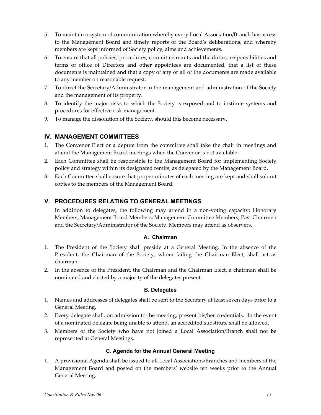- 5. To maintain a system of communication whereby every Local Association/Branch has access to the Management Board and timely reports of the Board's deliberations, and whereby members are kept informed of Society policy, aims and achievements.
- 6. To ensure that all policies, procedures, committee remits and the duties, responsibilities and terms of office of Directors and other appointees are documented, that a list of these documents is maintained and that a copy of any or all of the documents are made available to any member on reasonable request.
- 7. To direct the Secretary/Administrator in the management and administration of the Society and the management of its property.
- 8. To identify the major risks to which the Society is exposed and to institute systems and procedures for effective risk management.
- 9. To manage the dissolution of the Society, should this become necessary.

# **IV. MANAGEMENT COMMITTEES**

- 1. The Convenor Elect or a depute from the committee shall take the chair in meetings and attend the Management Board meetings when the Convenor is not available.
- 2. Each Committee shall be responsible to the Management Board for implementing Society policy and strategy within its designated remits, as delegated by the Management Board.
- 3. Each Committee shall ensure that proper minutes of each meeting are kept and shall submit copies to the members of the Management Board.

# **V. PROCEDURES RELATING TO GENERAL MEETINGS**

 In addition to delegates, the following may attend in a non-voting capacity: Honorary Members, Management Board Members, Management Committee Members, Past Chairmen and the Secretary/Administrator of the Society. Members may attend as observers.

### **A. Chairman**

- 1. The President of the Society shall preside at a General Meeting. In the absence of the President, the Chairman of the Society, whom failing the Chairman Elect, shall act as chairman.
- 2. In the absence of the President, the Chairman and the Chairman Elect, a chairman shall be nominated and elected by a majority of the delegates present.

### **B. Delegates**

- 1. Names and addresses of delegates shall be sent to the Secretary at least seven days prior to a General Meeting.
- 2. Every delegate shall, on admission to the meeting, present his/her credentials. In the event of a nominated delegate being unable to attend, an accredited substitute shall be allowed.
- 3. Members of the Society who have not joined a Local Association/Branch shall not be represented at General Meetings.

### **C. Agenda for the Annual General Meeting**

1. A provisional Agenda shall be issued to all Local Associations/Branches and members of the Management Board and posted on the members' website ten weeks prior to the Annual General Meeting.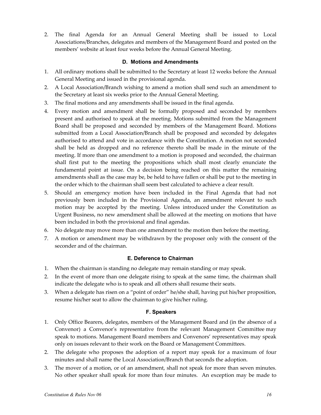2. The final Agenda for an Annual General Meeting shall be issued to Local Associations/Branches, delegates and members of the Management Board and posted on the members' website at least four weeks before the Annual General Meeting.

### **D. Motions and Amendments**

- 1. All ordinary motions shall be submitted to the Secretary at least 12 weeks before the Annual General Meeting and issued in the provisional agenda.
- 2. A Local Association/Branch wishing to amend a motion shall send such an amendment to the Secretary at least six weeks prior to the Annual General Meeting.
- 3. The final motions and any amendments shall be issued in the final agenda.
- 4. Every motion and amendment shall be formally proposed and seconded by members present and authorised to speak at the meeting. Motions submitted from the Management Board shall be proposed and seconded by members of the Management Board. Motions submitted from a Local Association/Branch shall be proposed and seconded by delegates authorised to attend and vote in accordance with the Constitution. A motion not seconded shall be held as dropped and no reference thereto shall be made in the minute of the meeting. If more than one amendment to a motion is proposed and seconded, the chairman shall first put to the meeting the propositions which shall most clearly enunciate the fundamental point at issue. On a decision being reached on this matter the remaining amendments shall as the case may be, be held to have fallen or shall be put to the meeting in the order which to the chairman shall seem best calculated to achieve a clear result.
- 5. Should an emergency motion have been included in the Final Agenda that had not previously been included in the Provisional Agenda, an amendment relevant to such motion may be accepted by the meeting. Unless introduced under the Constitution as Urgent Business, no new amendment shall be allowed at the meeting on motions that have been included in both the provisional and final agendas.
- 6. No delegate may move more than one amendment to the motion then before the meeting.
- 7. A motion or amendment may be withdrawn by the proposer only with the consent of the seconder and of the chairman.

### **E. Deference to Chairman**

- 1. When the chairman is standing no delegate may remain standing or may speak.
- 2. In the event of more than one delegate rising to speak at the same time, the chairman shall indicate the delegate who is to speak and all others shall resume their seats.
- 3. When a delegate has risen on a "point of order" he/she shall, having put his/her proposition, resume his/her seat to allow the chairman to give his/her ruling.

### **F. Speakers**

- 1. Only Office Bearers, delegates, members of the Management Board and (in the absence of a Convenor) a Convenor's representative from the relevant Management Committee may speak to motions. Management Board members and Convenors' representatives may speak only on issues relevant to their work on the Board or Management Committees.
- 2. The delegate who proposes the adoption of a report may speak for a maximum of four minutes and shall name the Local Association/Branch that seconds the adoption.
- 3. The mover of a motion, or of an amendment, shall not speak for more than seven minutes. No other speaker shall speak for more than four minutes. An exception may be made to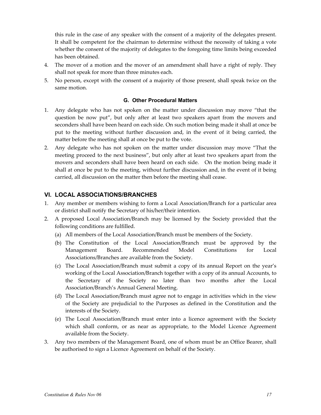this rule in the case of any speaker with the consent of a majority of the delegates present. It shall be competent for the chairman to determine without the necessity of taking a vote whether the consent of the majority of delegates to the foregoing time limits being exceeded has been obtained.

- 4. The mover of a motion and the mover of an amendment shall have a right of reply. They shall not speak for more than three minutes each.
- 5. No person, except with the consent of a majority of those present, shall speak twice on the same motion.

#### **G. Other Procedural Matters**

- 1. Any delegate who has not spoken on the matter under discussion may move "that the question be now put", but only after at least two speakers apart from the movers and seconders shall have been heard on each side. On such motion being made it shall at once be put to the meeting without further discussion and, in the event of it being carried, the matter before the meeting shall at once be put to the vote.
- 2. Any delegate who has not spoken on the matter under discussion may move "That the meeting proceed to the next business", but only after at least two speakers apart from the movers and seconders shall have been heard on each side. On the motion being made it shall at once be put to the meeting, without further discussion and, in the event of it being carried, all discussion on the matter then before the meeting shall cease.

### **VI. LOCAL ASSOCIATIONS/BRANCHES**

- 1. Any member or members wishing to form a Local Association/Branch for a particular area or district shall notify the Secretary of his/her/their intention.
- 2. A proposed Local Association/Branch may be licensed by the Society provided that the following conditions are fulfilled.
	- (a) All members of the Local Association/Branch must be members of the Society.
	- (b) The Constitution of the Local Association/Branch must be approved by the Management Board. Recommended Model Constitutions for Local Associations/Branches are available from the Society.
	- (c) The Local Association/Branch must submit a copy of its annual Report on the year's working of the Local Association/Branch together with a copy of its annual Accounts, to the Secretary of the Society no later than two months after the Local Association/Branch's Annual General Meeting.
	- (d) The Local Association/Branch must agree not to engage in activities which in the view of the Society are prejudicial to the Purposes as defined in the Constitution and the interests of the Society.
	- (e) The Local Association/Branch must enter into a licence agreement with the Society which shall conform, or as near as appropriate, to the Model Licence Agreement available from the Society.
- 3. Any two members of the Management Board, one of whom must be an Office Bearer, shall be authorised to sign a Licence Agreement on behalf of the Society.